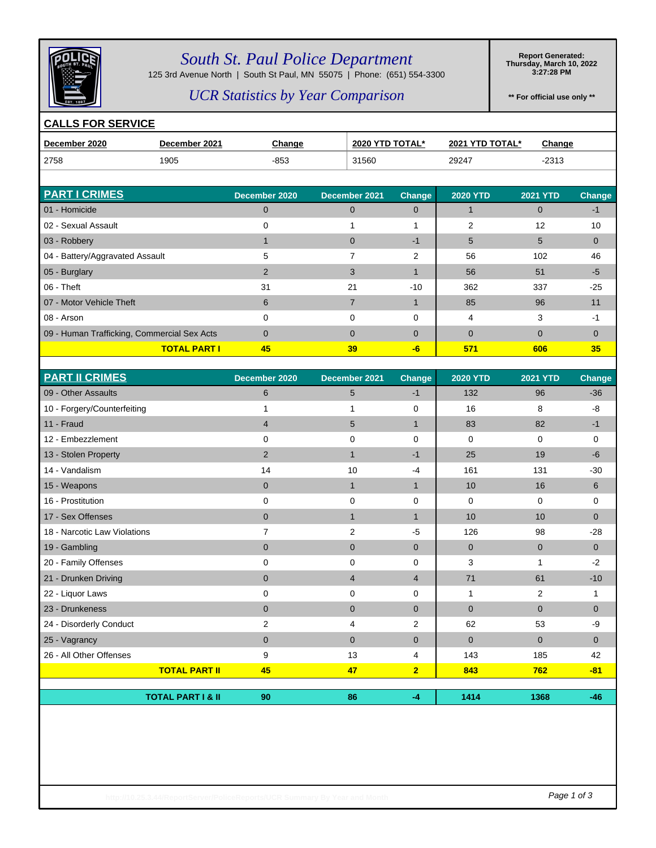

# *South St. Paul Police Department*

125 3rd Avenue North | South St Paul, MN 55075 | Phone: (651) 554-3300

**Report Generated: Thursday, March 10, 2022 3:27:28 PM**

### *UCR Statistics by Year Comparison*

**\*\* For official use only \*\***

#### **CALLS FOR SERVICE**

| December 2020                               | December 2021       | <b>Change</b>  | <b>2020 YTD TOTAL*</b> |               | 2021 YTD TOTAL* | <b>Change</b>   |               |
|---------------------------------------------|---------------------|----------------|------------------------|---------------|-----------------|-----------------|---------------|
| 2758                                        | 1905                | $-853$         | 31560                  |               | 29247           | $-2313$         |               |
|                                             |                     |                |                        |               |                 |                 |               |
| <b>PART I CRIMES</b>                        |                     | December 2020  | December 2021          | <b>Change</b> | <b>2020 YTD</b> | <b>2021 YTD</b> | <b>Change</b> |
| 01 - Homicide                               |                     | $\mathbf 0$    | $\Omega$               | $\Omega$      |                 | $\Omega$        | $-1$          |
| 02 - Sexual Assault                         |                     | 0              |                        |               | $\overline{2}$  | 12              | 10            |
| 03 - Robbery                                |                     |                | $\Omega$               | $-1$          | 5               | 5               | $\mathbf{0}$  |
| 04 - Battery/Aggravated Assault             |                     | 5              |                        | 2             | 56              | 102             | 46            |
| 05 - Burglary                               |                     | $\overline{2}$ | 3                      |               | 56              | 51              | $-5$          |
| $06 -$ Theft                                |                     | 31             | 21                     | $-10$         | 362             | 337             | $-25$         |
| 07 - Motor Vehicle Theft                    |                     | 6              |                        |               | 85              | 96              | 11            |
| 08 - Arson                                  |                     | $\Omega$       | $\Omega$               | 0             | 4               | 3               | -1            |
| 09 - Human Trafficking, Commercial Sex Acts |                     | $\Omega$       | $\Omega$               | $\Omega$      | $\mathbf{0}$    | $\Omega$        | $\Omega$      |
|                                             | <b>TOTAL PART I</b> | 45             | 39                     | $-6$          | 571             | 606             | 35            |

| <b>PART II CRIMES</b>        | December 2020  | December 2021  | Change         | <b>2020 YTD</b> | <b>2021 YTD</b> | <b>Change</b> |
|------------------------------|----------------|----------------|----------------|-----------------|-----------------|---------------|
| 09 - Other Assaults          | 6              | 5              | $-1$           | 132             | 96              | $-36$         |
| 10 - Forgery/Counterfeiting  | 1              | 1              | 0              | 16              | 8               | -8            |
| 11 - Fraud                   | $\overline{4}$ | 5              | $\mathbf{1}$   | 83              | 82              | -1            |
| 12 - Embezzlement            | 0              | 0              | 0              | 0               | 0               | 0             |
| 13 - Stolen Property         | $\overline{2}$ | $\mathbf 1$    | $-1$           | 25              | 19              | $-6$          |
| 14 - Vandalism               | 14             | 10             | -4             | 161             | 131             | $-30$         |
| 15 - Weapons                 | $\mathbf 0$    | $\mathbf{1}$   | $\mathbf{1}$   | 10              | 16              | 6             |
| 16 - Prostitution            | 0              | 0              | 0              | 0               | 0               | 0             |
| 17 - Sex Offenses            | $\mathbf 0$    | $\mathbf{1}$   | $\mathbf{1}$   | 10              | 10              | $\Omega$      |
| 18 - Narcotic Law Violations | 7              | 2              | -5             | 126             | 98              | $-28$         |
| 19 - Gambling                | $\mathbf{0}$   | $\mathbf 0$    | $\overline{0}$ | $\mathbf{0}$    | $\overline{0}$  | $\mathbf{0}$  |
| 20 - Family Offenses         | 0              | 0              | $\Omega$       | 3               |                 | $-2$          |
| 21 - Drunken Driving         | $\mathbf 0$    | $\overline{4}$ | 4              | 71              | 61              | $-10$         |
| 22 - Liquor Laws             | 0              | 0              | 0              | 1               | 2               | 1             |
| 23 - Drunkeness              | $\mathbf 0$    | $\mathbf 0$    | $\Omega$       | $\mathbf{0}$    | $\mathbf{0}$    | $\Omega$      |
| 24 - Disorderly Conduct      | 2              | 4              | 2              | 62              | 53              | -9            |
| 25 - Vagrancy                | $\mathbf{0}$   | $\mathbf{0}$   | $\mathbf{0}$   | $\mathbf{0}$    | $\mathbf{0}$    | $\mathbf{0}$  |
| 26 - All Other Offenses      | 9              | 13             | 4              | 143             | 185             | 42            |
| <b>TOTAL PART II</b>         | 45             | 47             | $\overline{2}$ | 843             | 762             | $-81$         |
|                              |                |                |                |                 |                 |               |
| <b>TOTAL PART I &amp; II</b> | 90             | 86             | $-4$           | 1414            | 1368            | $-46$         |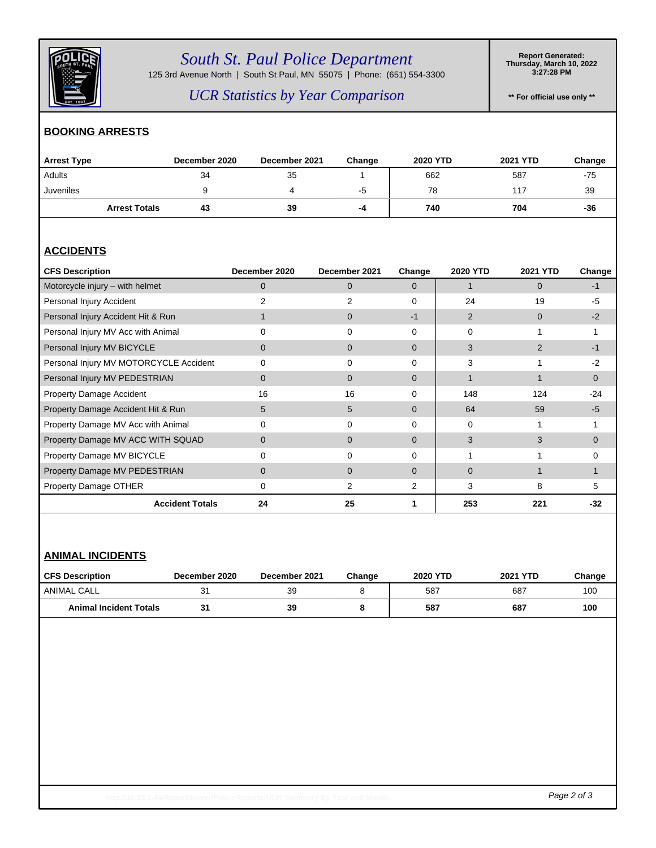

# *South St. Paul Police Department*

125 3rd Avenue North | South St Paul, MN 55075 | Phone: (651) 554-3300

**Report Generated: Thursday, March 10, 2022 3:27:28 PM**

### *UCR Statistics by Year Comparison*

**\*\* For official use only \*\***

#### **BOOKING ARRESTS**

| <b>Arrest Type</b>   | December 2020 | December 2021 | Change | <b>2020 YTD</b> | 2021 YTD | Change |
|----------------------|---------------|---------------|--------|-----------------|----------|--------|
| Adults               | 34            | 35            |        | 662             | 587      | -75    |
| Juveniles            |               |               | -5     | 78              | 117      | 39     |
| <b>Arrest Totals</b> | 43            | 39            | $-4$   | 740             | 704      | -36    |

#### **ACCIDENTS**

| <b>CFS Description</b>                 | December 2020 | December 2021  | Change         | 2020 YTD       | 2021 YTD       | Change   |
|----------------------------------------|---------------|----------------|----------------|----------------|----------------|----------|
| Motorcycle injury - with helmet        | 0             | $\mathbf{0}$   | $\Omega$       |                | $\Omega$       | -1       |
| Personal Injury Accident               | 2             | 2              | $\Omega$       | 24             | 19             | $-5$     |
| Personal Injury Accident Hit & Run     |               | $\mathbf 0$    | $-1$           | $\overline{2}$ | $\Omega$       | $-2$     |
| Personal Injury MV Acc with Animal     | 0             | $\Omega$       | $\Omega$       | $\Omega$       |                |          |
| Personal Injury MV BICYCLE             | 0             | $\mathbf{0}$   | $\Omega$       | 3              | $\overline{2}$ | -1       |
| Personal Injury MV MOTORCYCLE Accident | 0             | $\Omega$       | 0              | 3              |                | $-2$     |
| Personal Injury MV PEDESTRIAN          | 0             | $\mathbf{0}$   | $\Omega$       | 1              |                | $\Omega$ |
| <b>Property Damage Accident</b>        | 16            | 16             | 0              | 148            | 124            | $-24$    |
| Property Damage Accident Hit & Run     | 5             | 5              | $\mathbf{0}$   | 64             | 59             | -5       |
| Property Damage MV Acc with Animal     | 0             | $\Omega$       | $\Omega$       | $\Omega$       |                |          |
| Property Damage MV ACC WITH SQUAD      | 0             | $\Omega$       | $\Omega$       | 3              | 3              | $\Omega$ |
| Property Damage MV BICYCLE             | 0             | 0              | 0              |                |                | 0        |
| Property Damage MV PEDESTRIAN          | $\Omega$      | $\overline{0}$ | $\Omega$       | 0              |                |          |
| Property Damage OTHER                  | 0             | 2              | $\overline{2}$ | 3              | 8              | 5        |
| <b>Accident Totals</b>                 | 24            | 25             |                | 253            | 221            | -32      |

#### **ANIMAL INCIDENTS**

| <b>CFS Description</b>        | December 2020 | December 2021 | Change | <b>2020 YTD</b> | <b>2021 YTD</b> | Change |
|-------------------------------|---------------|---------------|--------|-----------------|-----------------|--------|
| ANIMAL CALL                   |               | 39            |        | 587             | -687            | 100    |
| <b>Animal Incident Totals</b> |               | 39            |        | 587             | 687             | 100    |